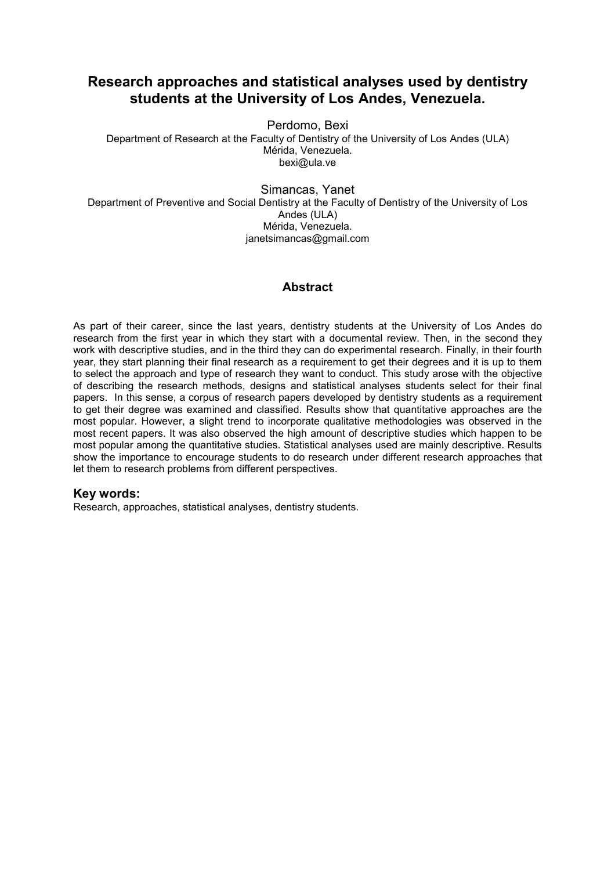# **Research approaches and statistical analyses used by dentistry students at the University of Los Andes, Venezuela.**

Perdomo, Bexi

Department of Research at the Faculty of Dentistry of the University of Los Andes (ULA) Mérida, Venezuela. bexi@ula.ve

Simancas, Yanet Department of Preventive and Social Dentistry at the Faculty of Dentistry of the University of Los Andes (ULA) Mérida, Venezuela. janetsimancas@gmail.com

# **Abstract**

As part of their career, since the last years, dentistry students at the University of Los Andes do research from the first year in which they start with a documental review. Then, in the second they work with descriptive studies, and in the third they can do experimental research. Finally, in their fourth year, they start planning their final research as a requirement to get their degrees and it is up to them to select the approach and type of research they want to conduct. This study arose with the objective of describing the research methods, designs and statistical analyses students select for their final papers. In this sense, a corpus of research papers developed by dentistry students as a requirement to get their degree was examined and classified. Results show that quantitative approaches are the most popular. However, a slight trend to incorporate qualitative methodologies was observed in the most recent papers. It was also observed the high amount of descriptive studies which happen to be most popular among the quantitative studies. Statistical analyses used are mainly descriptive. Results show the importance to encourage students to do research under different research approaches that let them to research problems from different perspectives.

# **Key words:**

Research, approaches, statistical analyses, dentistry students.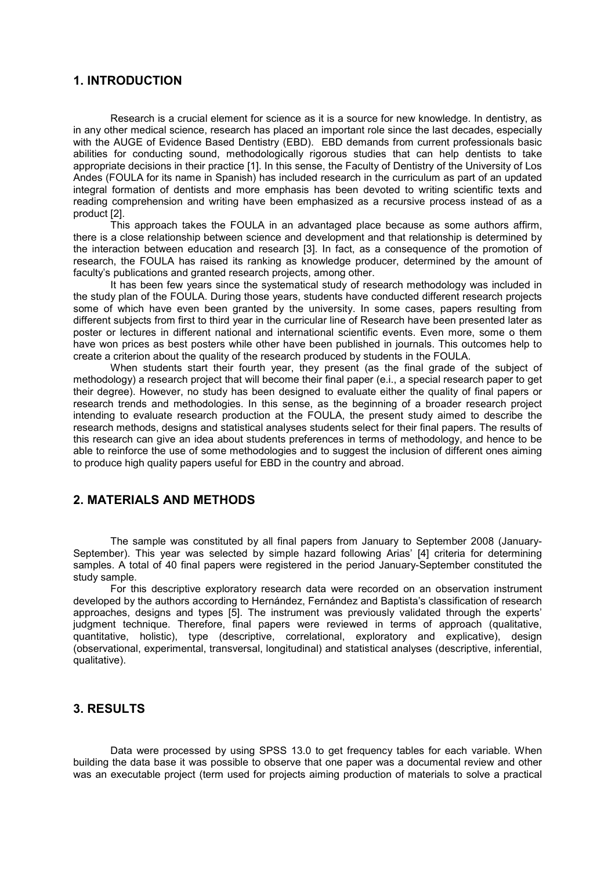# **1. INTRODUCTION**

Research is a crucial element for science as it is a source for new knowledge. In dentistry, as in any other medical science, research has placed an important role since the last decades, especially with the AUGE of Evidence Based Dentistry (EBD). EBD demands from current professionals basic abilities for conducting sound, methodologically rigorous studies that can help dentists to take appropriate decisions in their practice [1]. In this sense, the Faculty of Dentistry of the University of Los Andes (FOULA for its name in Spanish) has included research in the curriculum as part of an updated integral formation of dentists and more emphasis has been devoted to writing scientific texts and reading comprehension and writing have been emphasized as a recursive process instead of as a product [2].

This approach takes the FOULA in an advantaged place because as some authors affirm, there is a close relationship between science and development and that relationship is determined by the interaction between education and research [3]. In fact, as a consequence of the promotion of research, the FOULA has raised its ranking as knowledge producer, determined by the amount of faculty's publications and granted research projects, among other.

It has been few years since the systematical study of research methodology was included in the study plan of the FOULA. During those years, students have conducted different research projects some of which have even been granted by the university. In some cases, papers resulting from different subjects from first to third year in the curricular line of Research have been presented later as poster or lectures in different national and international scientific events. Even more, some o them have won prices as best posters while other have been published in journals. This outcomes help to create a criterion about the quality of the research produced by students in the FOULA.

When students start their fourth year, they present (as the final grade of the subject of methodology) a research project that will become their final paper (e.i., a special research paper to get their degree). However, no study has been designed to evaluate either the quality of final papers or research trends and methodologies. In this sense, as the beginning of a broader research project intending to evaluate research production at the FOULA, the present study aimed to describe the research methods, designs and statistical analyses students select for their final papers. The results of this research can give an idea about students preferences in terms of methodology, and hence to be able to reinforce the use of some methodologies and to suggest the inclusion of different ones aiming to produce high quality papers useful for EBD in the country and abroad.

#### **2. MATERIALS AND METHODS**

The sample was constituted by all final papers from January to September 2008 (January-September). This year was selected by simple hazard following Arias' [4] criteria for determining samples. A total of 40 final papers were registered in the period January-September constituted the study sample.

For this descriptive exploratory research data were recorded on an observation instrument developed by the authors according to Hernández, Fernández and Baptista's classification of research approaches, designs and types [5]. The instrument was previously validated through the experts' judgment technique. Therefore, final papers were reviewed in terms of approach (qualitative, quantitative, holistic), type (descriptive, correlational, exploratory and explicative), design (observational, experimental, transversal, longitudinal) and statistical analyses (descriptive, inferential, qualitative).

# **3. RESULTS**

Data were processed by using SPSS 13.0 to get frequency tables for each variable. When building the data base it was possible to observe that one paper was a documental review and other was an executable project (term used for projects aiming production of materials to solve a practical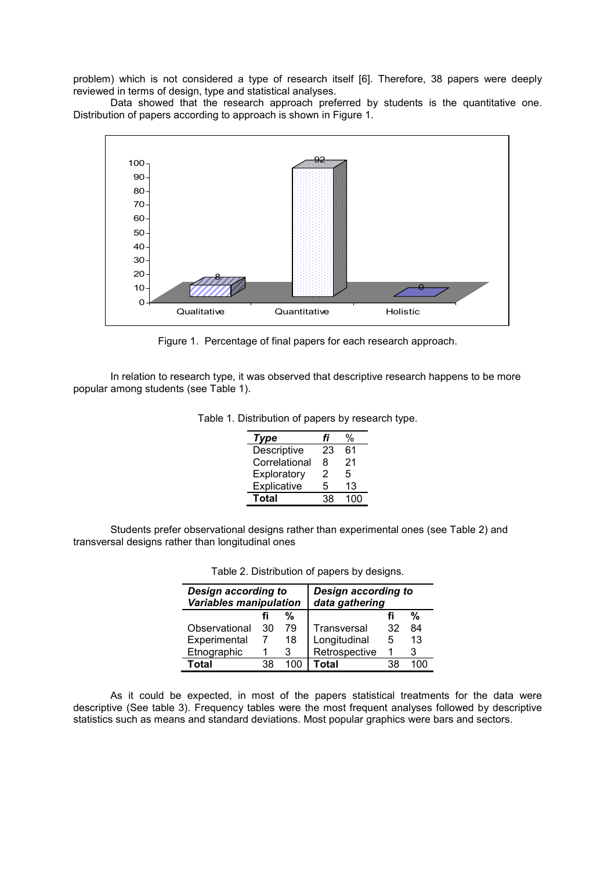problem) which is not considered a type of research itself [6]. Therefore, 38 papers were deeply reviewed in terms of design, type and statistical analyses.

Data showed that the research approach preferred by students is the quantitative one. Distribution of papers according to approach is shown in Figure 1.



Figure 1. Percentage of final papers for each research approach.

In relation to research type, it was observed that descriptive research happens to be more popular among students (see Table 1).

| Type          | fi | %   |
|---------------|----|-----|
| Descriptive   | 23 | 61  |
| Correlational | 8  | 21  |
| Exploratory   | 2  | 5   |
| Explicative   | 5  | 13  |
| Total         | 38 | 100 |

Table 1. Distribution of papers by research type.

Students prefer observational designs rather than experimental ones (see Table 2) and transversal designs rather than longitudinal ones

| Design according to<br><b>Variables manipulation</b> |    | <b>Design according to</b><br>data gathering |               |    |    |
|------------------------------------------------------|----|----------------------------------------------|---------------|----|----|
|                                                      |    | %                                            |               |    | %  |
| Observational                                        | 30 | 79                                           | Transversal   | 32 | 84 |
| Experimental                                         |    | 18                                           | Longitudinal  | 5  | 13 |
| Etnographic                                          |    | з                                            | Retrospective |    | 3  |
| Total                                                | 38 |                                              | Total         | 38 |    |

Table 2. Distribution of papers by designs.

As it could be expected, in most of the papers statistical treatments for the data were descriptive (See table 3). Frequency tables were the most frequent analyses followed by descriptive statistics such as means and standard deviations. Most popular graphics were bars and sectors.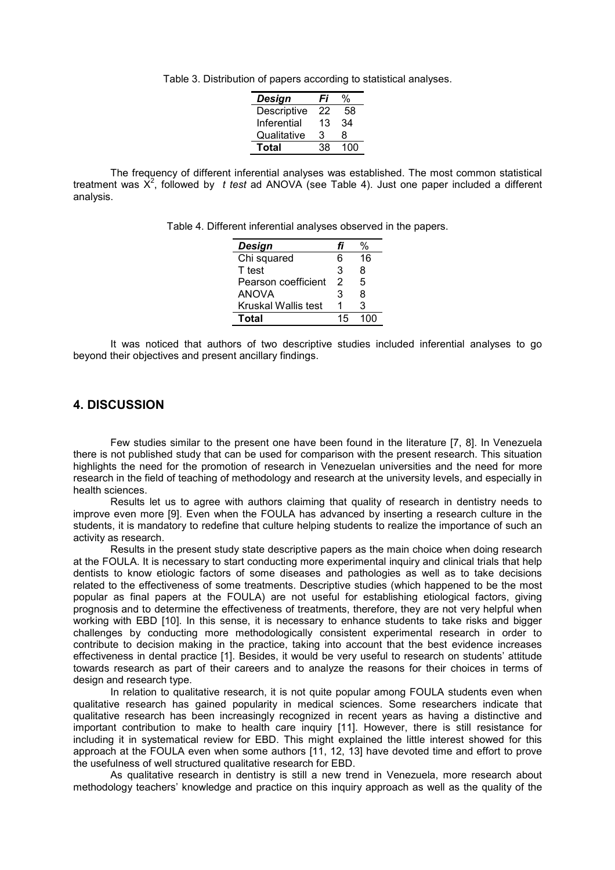Table 3. Distribution of papers according to statistical analyses.

| Design      | Fi | %   |
|-------------|----|-----|
| Descriptive | 22 | 58  |
| Inferential | 13 | 34  |
| Qualitative | З  | 8   |
| Total       | 38 | 100 |

The frequency of different inferential analyses was established. The most common statistical treatment was X<sup>2</sup>, followed by t test ad ANOVA (see Table 4). Just one paper included a different analysis.

Table 4. Different inferential analyses observed in the papers.

| Design              | t I |    |
|---------------------|-----|----|
| Chi squared         | 6   | 16 |
| T test              | 3   | 8  |
| Pearson coefficient | 2   | 5  |
| <b>ANOVA</b>        | 3   | 8  |
| Kruskal Wallis test |     | 3  |
| Total               | 15  |    |

It was noticed that authors of two descriptive studies included inferential analyses to go beyond their objectives and present ancillary findings.

# **4. DISCUSSION**

 Few studies similar to the present one have been found in the literature [7, 8]. In Venezuela there is not published study that can be used for comparison with the present research. This situation highlights the need for the promotion of research in Venezuelan universities and the need for more research in the field of teaching of methodology and research at the university levels, and especially in health sciences.

Results let us to agree with authors claiming that quality of research in dentistry needs to improve even more [9]. Even when the FOULA has advanced by inserting a research culture in the students, it is mandatory to redefine that culture helping students to realize the importance of such an activity as research.

Results in the present study state descriptive papers as the main choice when doing research at the FOULA. It is necessary to start conducting more experimental inquiry and clinical trials that help dentists to know etiologic factors of some diseases and pathologies as well as to take decisions related to the effectiveness of some treatments. Descriptive studies (which happened to be the most popular as final papers at the FOULA) are not useful for establishing etiological factors, giving prognosis and to determine the effectiveness of treatments, therefore, they are not very helpful when working with EBD [10]. In this sense, it is necessary to enhance students to take risks and bigger challenges by conducting more methodologically consistent experimental research in order to contribute to decision making in the practice, taking into account that the best evidence increases effectiveness in dental practice [1]. Besides, it would be very useful to research on students' attitude towards research as part of their careers and to analyze the reasons for their choices in terms of design and research type.

In relation to qualitative research, it is not quite popular among FOULA students even when qualitative research has gained popularity in medical sciences. Some researchers indicate that qualitative research has been increasingly recognized in recent years as having a distinctive and important contribution to make to health care inquiry [11]. However, there is still resistance for including it in systematical review for EBD. This might explained the little interest showed for this approach at the FOULA even when some authors [11, 12, 13] have devoted time and effort to prove the usefulness of well structured qualitative research for EBD.

As qualitative research in dentistry is still a new trend in Venezuela, more research about methodology teachers' knowledge and practice on this inquiry approach as well as the quality of the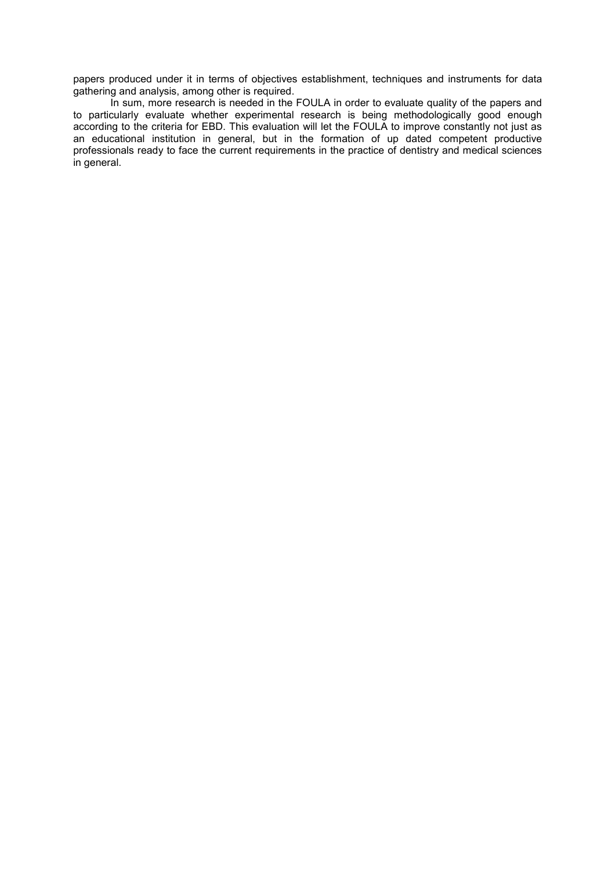papers produced under it in terms of objectives establishment, techniques and instruments for data gathering and analysis, among other is required.

In sum, more research is needed in the FOULA in order to evaluate quality of the papers and to particularly evaluate whether experimental research is being methodologically good enough according to the criteria for EBD. This evaluation will let the FOULA to improve constantly not just as an educational institution in general, but in the formation of up dated competent productive professionals ready to face the current requirements in the practice of dentistry and medical sciences in general.